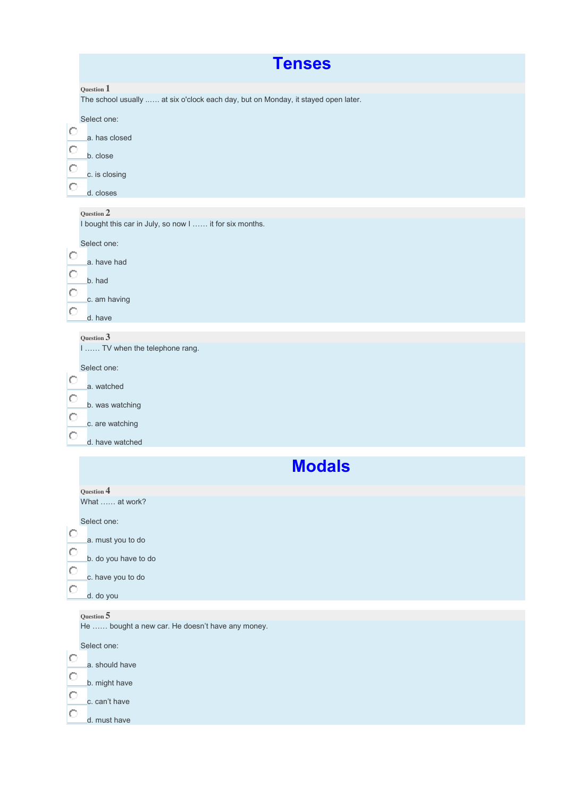|                                                              | <b>Tenses</b>                                                                                                                                                                                                                                                                  |
|--------------------------------------------------------------|--------------------------------------------------------------------------------------------------------------------------------------------------------------------------------------------------------------------------------------------------------------------------------|
| $\circ$<br>$\circ$<br>$\circ$<br>$\circ$                     | Question $\mathbb 1$<br>The school usually  at six o'clock each day, but on Monday, it stayed open later.<br>Select one:<br>a. has closed<br>b. close<br>c. is closing<br>d. closes                                                                                            |
| $\circ$<br>О<br>$\circ$<br>О<br>$\circ$<br>О<br>$\circ$<br>Ю | Question 2<br>I bought this car in July, so now I  it for six months.<br>Select one:<br>a. have had<br>b. had<br>c. am having<br>d. have<br>Question 3<br>I  TV when the telephone rang.<br>Select one:<br>a. watched<br>b. was watching<br>c. are watching<br>d. have watched |
|                                                              | <b>Modals</b>                                                                                                                                                                                                                                                                  |
| O<br>O<br>$\circ$<br>О                                       | Question 4<br>What  at work?<br>Select one:<br>a. must you to do<br>b. do you have to do<br>c. have you to do<br>d. do you<br>Question 5                                                                                                                                       |
| О<br>$\circ$<br>$\circ$<br>О                                 | He  bought a new car. He doesn't have any money.<br>Select one:<br>a. should have<br>b. might have<br>c. can't have<br>d. must have                                                                                                                                            |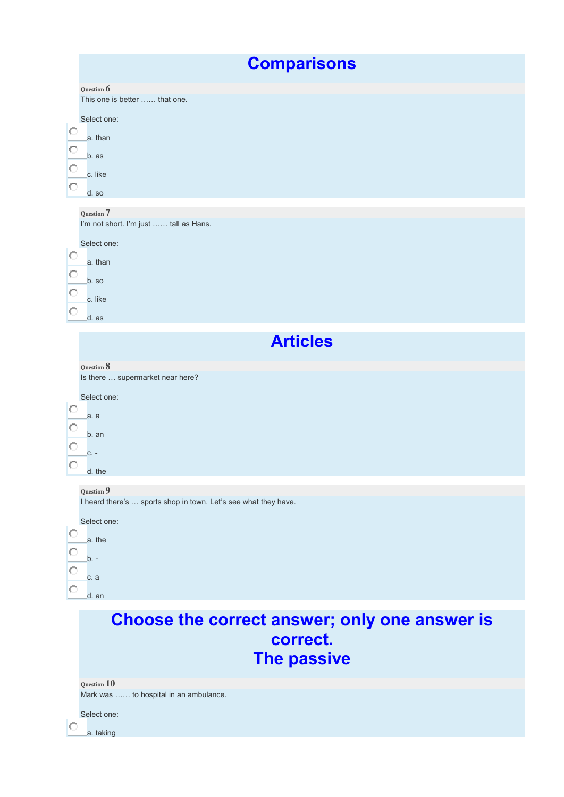|                                    | <b>Comparisons</b>                                                                                                              |
|------------------------------------|---------------------------------------------------------------------------------------------------------------------------------|
| O<br>$\circ$<br>$\circ$<br>$\circ$ | Question 6<br>This one is better  that one.<br>Select one:<br>a. than<br>b. as<br>c. like<br>d. so                              |
| Ю<br>$\circ$<br>$\circ$<br>$\circ$ | Question 7<br>I'm not short. I'm just  tall as Hans.<br>Select one:<br>a. than<br>b. so<br>c. like<br>d. as                     |
|                                    | <b>Articles</b>                                                                                                                 |
| Ю<br>$\circ$<br>$\circ$<br>$\circ$ | Question 8<br>Is there  supermarket near here?<br>Select one:<br>a. a<br>b. an<br>$C. -$<br>d. the                              |
| Ю<br>$\circ$<br>$\circ$<br>$\circ$ | Question 9<br>I heard there's  sports shop in town. Let's see what they have.<br>Select one:<br>a. the<br>b. -<br>c. a<br>d. an |
|                                    | Choose the correct answer; only one answer is<br>correct.<br>The passive                                                        |
| Ю                                  | Question 10<br>Mark was  to hospital in an ambulance.<br>Select one:<br>a. taking                                               |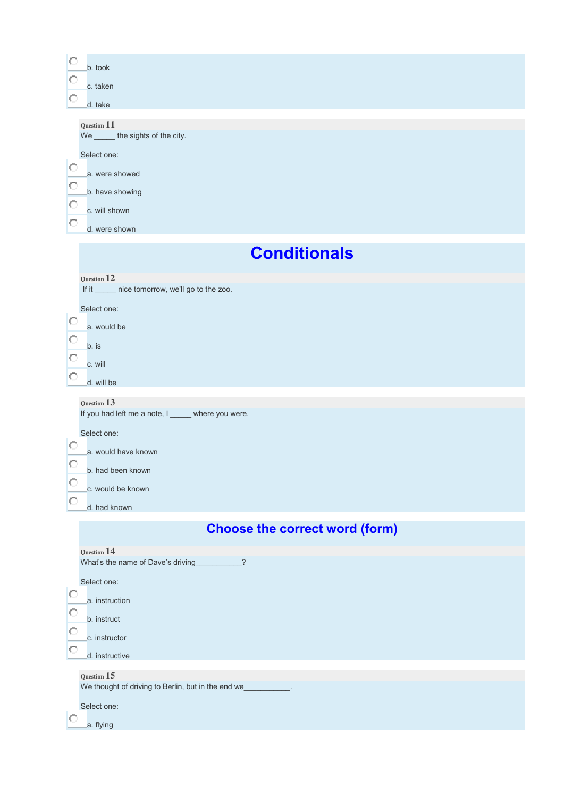| O<br>b. took<br>C<br>c. taken<br>O<br>d. take                                                                                                                                     |  |  |  |
|-----------------------------------------------------------------------------------------------------------------------------------------------------------------------------------|--|--|--|
| Question 11<br>We ______ the sights of the city.<br>Select one:<br>$\circ$<br>a. were showed<br>O<br>b. have showing<br>О<br>c. will shown                                        |  |  |  |
| О<br>d. were shown<br><b>Conditionals</b>                                                                                                                                         |  |  |  |
| Question 12<br>If it ______ nice tomorrow, we'll go to the zoo.<br>Select one:<br>O<br>a. would be<br>O<br>b. is<br>О<br>c. will<br>O<br>d. will be                               |  |  |  |
| Question 13<br>If you had left me a note, I ______ where you were.<br>Select one:<br>О<br>a. would have known<br>О<br>b. had been known<br>О<br>c. would be known<br>d. had known |  |  |  |
| <b>Choose the correct word (form)</b>                                                                                                                                             |  |  |  |
| Question 14<br>What's the name of Dave's driving<br>Select one:<br>O<br>a. instruction<br>О<br>b. instruct<br>O<br>c. instructor<br>О<br>d. instructive                           |  |  |  |
| Question 15<br>We thought of driving to Berlin, but in the end we_<br><b>Contract Contract</b><br>Select one:<br>C<br>a. flying                                                   |  |  |  |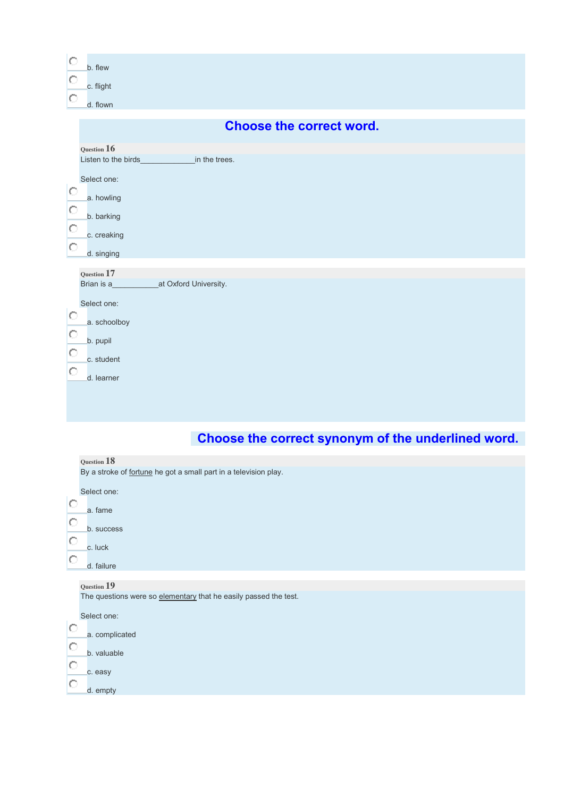| $\circ$<br>b. flew<br>$\circ$<br>c. flight<br>$\circ$<br>d. flown                                                                                                                         |  |  |  |
|-------------------------------------------------------------------------------------------------------------------------------------------------------------------------------------------|--|--|--|
| <b>Choose the correct word.</b>                                                                                                                                                           |  |  |  |
| Question 16<br>Listen to the birds_<br><b>Example 2</b> in the trees.<br>Select one:<br>$\circ$<br>a. howling<br>$\circ$<br>b. barking<br>$\circ$<br>c. creaking<br>$\circ$<br>d. singing |  |  |  |
| $_{\rm Question}$ $17$<br>Brian is a__________________at Oxford University.<br>Select one:<br>Ю<br>a. schoolboy<br>$\circ$<br>b. pupil<br>$\circ$<br>c. student<br>$\circ$<br>d. learner  |  |  |  |

# **Choose the correct synonym of the underlined word.**

| Question 18                                                      |
|------------------------------------------------------------------|
| By a stroke of fortune he got a small part in a television play. |
|                                                                  |
| Select one:                                                      |
| O<br>a. fame                                                     |
| Ō                                                                |
| b. success                                                       |
| $\circ$                                                          |
| c. luck                                                          |
| О<br>d. failure                                                  |
|                                                                  |
| Question 19                                                      |
| The questions were so elementary that he easily passed the test. |
|                                                                  |
| Select one:                                                      |
| О                                                                |
| a. complicated                                                   |
| O<br>b. valuable                                                 |
| Ō                                                                |
| c. easy                                                          |
| О                                                                |
| d. empty                                                         |
|                                                                  |